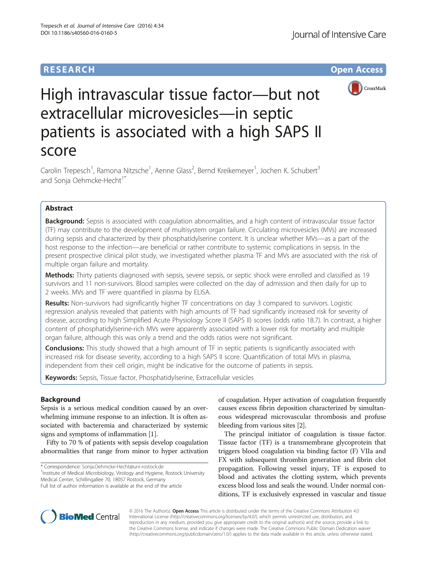# **RESEARCH CHE Open Access**



# High intravascular tissue factor—but not extracellular microvesicles—in septic patients is associated with a high SAPS II score

Carolin Trepesch<sup>1</sup>, Ramona Nitzsche<sup>1</sup>, Aenne Glass<sup>2</sup>, Bernd Kreikemeyer<sup>1</sup>, Jochen K. Schubert<sup>3</sup> and Sonja Oehmcke-Hecht<sup>1\*</sup>

# Abstract

Background: Sepsis is associated with coagulation abnormalities, and a high content of intravascular tissue factor (TF) may contribute to the development of multisystem organ failure. Circulating microvesicles (MVs) are increased during sepsis and characterized by their phosphatidylserine content. It is unclear whether MVs—as a part of the host response to the infection—are beneficial or rather contribute to systemic complications in sepsis. In the present prospective clinical pilot study, we investigated whether plasma TF and MVs are associated with the risk of multiple organ failure and mortality.

Methods: Thirty patients diagnosed with sepsis, severe sepsis, or septic shock were enrolled and classified as 19 survivors and 11 non-survivors. Blood samples were collected on the day of admission and then daily for up to 2 weeks. MVs and TF were quantified in plasma by ELISA.

Results: Non-survivors had significantly higher TF concentrations on day 3 compared to survivors. Logistic regression analysis revealed that patients with high amounts of TF had significantly increased risk for severity of disease, according to high Simplified Acute Physiology Score II (SAPS II) scores (odds ratio 18.7). In contrast, a higher content of phosphatidylserine-rich MVs were apparently associated with a lower risk for mortality and multiple organ failure, although this was only a trend and the odds ratios were not significant.

**Conclusions:** This study showed that a high amount of TF in septic patients is significantly associated with increased risk for disease severity, according to a high SAPS II score. Quantification of total MVs in plasma, independent from their cell origin, might be indicative for the outcome of patients in sepsis.

Keywords: Sepsis, Tissue factor, Phosphatidylserine, Extracellular vesicles

# Background

Sepsis is a serious medical condition caused by an overwhelming immune response to an infection. It is often associated with bacteremia and characterized by systemic signs and symptoms of inflammation [\[1](#page-7-0)].

Fifty to 70 % of patients with sepsis develop coagulation abnormalities that range from minor to hyper activation

\* Correspondence: [Sonja.Oehmcke-Hecht@uni-rostock.de](mailto:Sonja.Oehmcke-Hecht@uni-rostock.de) <sup>1</sup>

<sup>1</sup> Institute of Medical Microbiology, Virology and Hygiene, Rostock University Medical Center, Schillingallee 70, 18057 Rostock, Germany

of coagulation. Hyper activation of coagulation frequently causes excess fibrin deposition characterized by simultaneous widespread microvascular thrombosis and profuse bleeding from various sites [[2](#page-7-0)].

The principal initiator of coagulation is tissue factor. Tissue factor (TF) is a transmembrane glycoprotein that triggers blood coagulation via binding factor (F) VIIa and FX with subsequent thrombin generation and fibrin clot propagation. Following vessel injury, TF is exposed to blood and activates the clotting system, which prevents excess blood loss and seals the wound. Under normal conditions, TF is exclusively expressed in vascular and tissue



© 2016 The Author(s). Open Access This article is distributed under the terms of the Creative Commons Attribution 4.0 International License [\(http://creativecommons.org/licenses/by/4.0/](http://creativecommons.org/licenses/by/4.0/)), which permits unrestricted use, distribution, and reproduction in any medium, provided you give appropriate credit to the original author(s) and the source, provide a link to the Creative Commons license, and indicate if changes were made. The Creative Commons Public Domain Dedication waiver [\(http://creativecommons.org/publicdomain/zero/1.0/](http://creativecommons.org/publicdomain/zero/1.0/)) applies to the data made available in this article, unless otherwise stated.

Full list of author information is available at the end of the article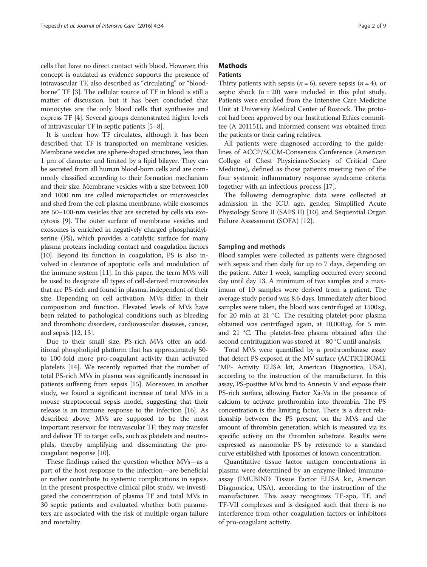cells that have no direct contact with blood. However, this concept is outdated as evidence supports the presence of intravascular TF, also described as "circulating" or "bloodborne" TF [\[3](#page-7-0)]. The cellular source of TF in blood is still a matter of discussion, but it has been concluded that monocytes are the only blood cells that synthesize and express TF [[4\]](#page-7-0). Several groups demonstrated higher levels of intravascular TF in septic patients [\[5](#page-7-0)–[8\]](#page-7-0).

It is unclear how TF circulates, although it has been described that TF is transported on membrane vesicles. Membrane vesicles are sphere-shaped structures, less than 1 μm of diameter and limited by a lipid bilayer. They can be secreted from all human blood-born cells and are commonly classified according to their formation mechanism and their size. Membrane vesicles with a size between 100 and 1000 nm are called microparticles or microvesicles and shed from the cell plasma membrane, while exosomes are 50–100-nm vesicles that are secreted by cells via exocytosis [[9](#page-7-0)]. The outer surface of membrane vesicles and exosomes is enriched in negatively charged phosphatidylserine (PS), which provides a catalytic surface for many plasma proteins including contact and coagulation factors [[10](#page-7-0)]. Beyond its function in coagulation, PS is also involved in clearance of apoptotic cells and modulation of the immune system [\[11](#page-7-0)]. In this paper, the term MVs will be used to designate all types of cell-derived microvesicles that are PS-rich and found in plasma, independent of their size. Depending on cell activation, MVs differ in their composition and function. Elevated levels of MVs have been related to pathological conditions such as bleeding and thrombotic disorders, cardiovascular diseases, cancer, and sepsis [[12](#page-7-0), [13\]](#page-7-0).

Due to their small size, PS-rich MVs offer an additional phospholipid platform that has approximately 50 to 100-fold more pro-coagulant activity than activated platelets [\[14\]](#page-7-0). We recently reported that the number of total PS-rich MVs in plasma was significantly increased in patients suffering from sepsis [\[15](#page-7-0)]. Moreover, in another study, we found a significant increase of total MVs in a mouse streptococcal sepsis model, suggesting that their release is an immune response to the infection [[16](#page-7-0)]. As described above, MVs are supposed to be the most important reservoir for intravascular TF; they may transfer and deliver TF to target cells, such as platelets and neutrophils, thereby amplifying and disseminating the procoagulant response [[10](#page-7-0)].

These findings raised the question whether MVs—as a part of the host response to the infection—are beneficial or rather contribute to systemic complications in sepsis. In the present prospective clinical pilot study, we investigated the concentration of plasma TF and total MVs in 30 septic patients and evaluated whether both parameters are associated with the risk of multiple organ failure and mortality.

# **Methods**

# Patients

Thirty patients with sepsis  $(n = 6)$ , severe sepsis  $(n = 4)$ , or septic shock  $(n = 20)$  were included in this pilot study. Patients were enrolled from the Intensive Care Medicine Unit at University Medical Center of Rostock. The protocol had been approved by our Institutional Ethics committee (A 201151), and informed consent was obtained from the patients or their caring relatives.

All patients were diagnosed according to the guidelines of ACCP/SCCM-Consensus Conference (American College of Chest Physicians/Society of Critical Care Medicine), defined as those patients meeting two of the four systemic inflammatory response syndrome criteria together with an infectious process [\[17](#page-7-0)].

The following demographic data were collected at admission in the ICU: age, gender, Simplified Acute Physiology Score II (SAPS II) [\[10\]](#page-7-0), and Sequential Organ Failure Assessment (SOFA) [[12\]](#page-7-0).

## Sampling and methods

Blood samples were collected as patients were diagnosed with sepsis and then daily for up to 7 days, depending on the patient. After 1 week, sampling occurred every second day until day 13. A minimum of two samples and a maximum of 10 samples were derived from a patient. The average study period was 8.6 days. Immediately after blood samples were taken, the blood was centrifuged at 1500×g, for 20 min at 21 °C. The resulting platelet-poor plasma obtained was centrifuged again, at 10,000×g, for 5 min and 21 °C. The platelet-free plasma obtained after the second centrifugation was stored at −80 °C until analysis.

Total MVs were quantified by a prothrombinase assay that detect PS exposed at the MV surface (ACTICHROME ®MP- Activity ELISA kit, American Diagnostica, USA), according to the instruction of the manufacturer. In this assay, PS-positive MVs bind to Annexin V and expose their PS-rich surface, allowing Factor Xa-Va in the presence of calcium to activate prothrombin into thrombin. The PS concentration is the limiting factor. There is a direct relationship between the PS present on the MVs and the amount of thrombin generation, which is measured via its specific activity on the thrombin substrate. Results were expressed as nanomolar PS by reference to a standard curve established with liposomes of known concentration.

Quantitative tissue factor antigen concentrations in plasma were determined by an enzyme-linked immunoassay (IMUBIND Tissue Factor ELISA kit, American Diagnostica, USA), according to the instruction of the manufacturer. This assay recognizes TF-apo, TF, and TF-VII complexes and is designed such that there is no interference from other coagulation factors or inhibitors of pro-coagulant activity.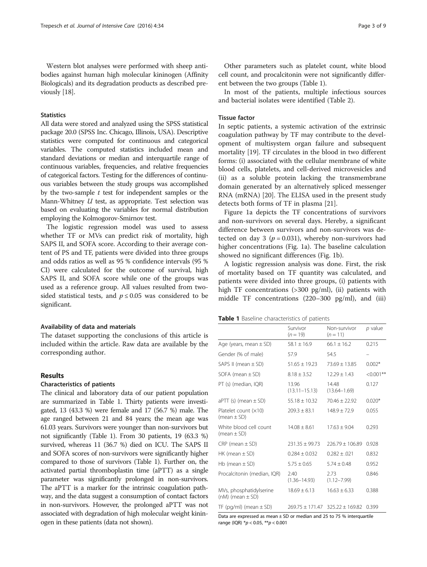Western blot analyses were performed with sheep antibodies against human high molecular kininogen (Affinity Biologicals) and its degradation products as described previously [\[18\]](#page-7-0).

#### **Statistics**

All data were stored and analyzed using the SPSS statistical package 20.0 (SPSS Inc. Chicago, Illinois, USA). Descriptive statistics were computed for continuous and categorical variables. The computed statistics included mean and standard deviations or median and interquartile range of continuous variables, frequencies, and relative frequencies of categorical factors. Testing for the differences of continuous variables between the study groups was accomplished by the two-sample  $t$  test for independent samples or the Mann-Whitney U test, as appropriate. Test selection was based on evaluating the variables for normal distribution employing the Kolmogorov-Smirnov test.

The logistic regression model was used to assess whether TF or MVs can predict risk of mortality, high SAPS II, and SOFA score. According to their average content of PS and TF, patients were divided into three groups and odds ratios as well as 95 % confidence intervals (95 % CI) were calculated for the outcome of survival, high SAPS II, and SOFA score while one of the groups was used as a reference group. All values resulted from twosided statistical tests, and  $p \leq 0.05$  was considered to be significant.

#### Availability of data and materials

The dataset supporting the conclusions of this article is included within the article. Raw data are available by the corresponding author.

#### Results

## Characteristics of patients

The clinical and laboratory data of our patient population are summarized in Table 1. Thirty patients were investigated, 13 (43.3 %) were female and 17 (56.7 %) male. The age ranged between 21 and 84 years; the mean age was 61.03 years. Survivors were younger than non-survivors but not significantly (Table 1). From 30 patients, 19 (63.3 %) survived, whereas 11 (36.7 %) died on ICU. The SAPS II and SOFA scores of non-survivors were significantly higher compared to those of survivors (Table 1). Further on, the activated partial thromboplastin time (aPTT) as a single parameter was significantly prolonged in non-survivors. The aPTT is a marker for the intrinsic coagulation pathway, and the data suggest a consumption of contact factors in non-survivors. However, the prolonged aPTT was not associated with degradation of high molecular weight kininogen in these patients (data not shown).

Other parameters such as platelet count, white blood cell count, and procalcitonin were not significantly different between the two groups (Table 1).

In most of the patients, multiple infectious sources and bacterial isolates were identified (Table [2\)](#page-3-0).

## Tissue factor

In septic patients, a systemic activation of the extrinsic coagulation pathway by TF may contribute to the development of multisystem organ failure and subsequent mortality [\[19\]](#page-7-0). TF circulates in the blood in two different forms: (i) associated with the cellular membrane of white blood cells, platelets, and cell-derived microvesicles and (ii) as a soluble protein lacking the transmembrane domain generated by an alternatively spliced messenger RNA (mRNA) [\[20\]](#page-7-0). The ELISA used in the present study detects both forms of TF in plasma [[21\]](#page-7-0).

Figure [1a](#page-4-0) depicts the TF concentrations of survivors and non-survivors on several days. Hereby, a significant difference between survivors and non-survivors was detected on day 3 ( $p = 0.031$ ), whereby non-survivors had higher concentrations (Fig. [1a](#page-4-0)). The baseline calculation showed no significant differences (Fig. [1b](#page-4-0)).

A logistic regression analysis was done. First, the risk of mortality based on TF quantity was calculated, and patients were divided into three groups, (i) patients with high TF concentrations (>300 pg/ml), (ii) patients with middle TF concentrations (220–300 pg/ml), and (iii)

#### **Table 1** Baseline characteristics of patients

|                                                   | Survivor<br>$(n = 19)$     | Non-survivor<br>$(n = 11)$ | p value    |
|---------------------------------------------------|----------------------------|----------------------------|------------|
| Age (years, mean $\pm$ SD)                        | $58.1 \pm 16.9$            | $66.1 + 16.2$              | 0.215      |
| Gender (% of male)                                | 57.9                       | 54.5                       | -          |
| SAPS II (mean $\pm$ SD)                           | $51.65 + 19.23$            | $73.69 + 13.85$            | $0.002*$   |
| SOFA (mean $\pm$ SD)                              | $8.18 + 3.52$              | $12.29 + 1.43$             | $<0.001**$ |
| PT (s) (median, IQR)                              | 13.96<br>$(13.11 - 15.13)$ | 14.48<br>$(13.64 - 1.69)$  | 0.127      |
| $aPTT$ (s) (mean $\pm$ SD)                        | $55.18 \pm 10.32$          | $70.46 + 22.92$            | $0.020*$   |
| Platelet count $(x10)$<br>(mean $\pm$ SD)         | $709.3 + 83.1$             | $148.9 + 72.9$             | 0.055      |
| White blood cell count<br>(mean $\pm$ SD)         | $14.08 \pm 8.61$           | $17.63 \pm 9.04$           | 0.293      |
| $CRP$ (mean $\pm$ SD)                             | $231.35 + 99.73$           | $226.79 + 106.89$          | 0.928      |
| $HK$ (mean $\pm$ SD)                              | $0.284 + 0.032$            | $0.282 + 0.021$            | 0.832      |
| Hb (mean $\pm$ SD)                                | $5.75 + 0.65$              | $5.74 + 0.48$              | 0.952      |
| Procalcitonin (median, IQR)                       | 2.40<br>$(1.36 - 14.93)$   | 2.73<br>$(1.12 - 7.99)$    | 0.846      |
| MVs, phosphatidylserine<br>$(nM)$ (mean $\pm$ SD) | $18.69 \pm 6.13$           | $16.63 + 6.33$             | 0.388      |
| TF (pg/ml) (mean $\pm$ SD)                        | $269.75 + 171.47$          | $325.22 + 169.82$          | 0.399      |

Data are expressed as mean ± SD or median and 25 to 75 % interquartile range (IQR) \*p < 0.05, \*\*p < 0.001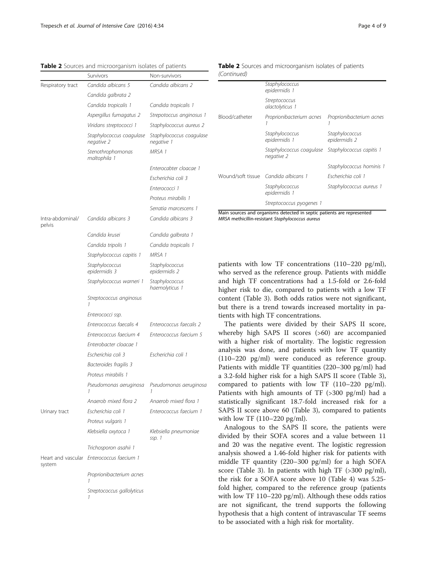<span id="page-3-0"></span>Table 2 Sources and microorganism isolates of patients

|                              | Survivors                              | Non-survivors                          |
|------------------------------|----------------------------------------|----------------------------------------|
| Respiratory tract            | Candida albicans 5                     | Candida albicans 2                     |
|                              | Candida galbrata 2                     |                                        |
|                              | Candida tropicalis 1                   | Candida tropicalis 1                   |
|                              | Aspergillus fumagatus 2                | Strepotoccus anginosus 1               |
|                              | Viridans streptococci 1                | Staphylococcus aureus 2                |
|                              | Staphylococcus coagulase<br>negative 2 | Staphylococcus coagulase<br>negative 1 |
|                              | Stenothrophomonas<br>maltophila 1      | MRSA 1                                 |
|                              |                                        | Enterocabter cloacae 1                 |
|                              |                                        | Escherichia coli 3                     |
|                              |                                        | Enterococci 1                          |
|                              |                                        | Proteus mirabilis 1                    |
|                              |                                        | Serratia marcescens 1                  |
| Intra-abdominal/<br>pelvis   | Candida albicans 3                     | Candida albicans 3                     |
|                              | Candida krusei                         | Candida galbrata 1                     |
|                              | Candida tripolis 1                     | Candida tropicalis 1                   |
|                              | Staphylococcus capitis 1               | MRSA 1                                 |
|                              | Staphylococcus<br>epidermidis 3        | Staphylococcus<br>epidermidis 2        |
|                              | Staphylococcus warneri 1               | Staphylococcus<br>haemolyticus 1       |
|                              | Streptococcus anginosus<br>1           |                                        |
|                              | Enterococci ssp.                       |                                        |
|                              | Enterococcus faecalis 4                | Enterococcus faecalis 2                |
|                              | Enterococcus faecium 4                 | Enterococcus faecium 5                 |
|                              | Enterobacter cloacae 1                 |                                        |
|                              | Escherichia coli 3                     | Escherichia coli 1                     |
|                              | Bacteroides fragilis 3                 |                                        |
|                              | Proteus mirabilis 1                    |                                        |
|                              | Pseudomonas aeruginosa<br>L            | Pseudomonas aeruginosa<br>1            |
|                              | Anaerob mixed flora 2                  | Anaerob mixed flora 1                  |
| Urinary tract                | Escherichia coli 1                     | Enterococcus faecium 1                 |
|                              | Proteus vulgaris 1                     |                                        |
|                              | Klebsiella oxytoca 1                   | Klebsiella pneumoniae<br>ssp. 1        |
|                              | Trichosporon asahii 1                  |                                        |
| Heart and vascular<br>system | Enterococcus faecium 1                 |                                        |
|                              | Proprionibacterium acnes<br>1          |                                        |
|                              | Streptococcus gallolyticus             |                                        |

Table 2 Sources and microorganism isolates of patients (Continued)

|                   | Staphylococcus<br>epidermidis 1        |                                 |
|-------------------|----------------------------------------|---------------------------------|
|                   | Streptococcus<br>alactolyticus 1       |                                 |
| Blood/catheter    | Proprionibacterium acnes               | Proprionibacterium acnes        |
|                   | Staphylococcus<br>epidermidis 1        | Staphylococcus<br>epidermidis 2 |
|                   | Staphylococcus coagulase<br>negative 2 | Staphylococcus capitis 1        |
|                   |                                        | Staphylococcus hominis 1        |
| Wound/soft tissue | Candida albicans 1                     | Escherichia coli 1              |
|                   | Staphylococcus<br>epidermidis 1        | Staphylococcus aureus 1         |
|                   | Streptococcus pyogenes 1               |                                 |
|                   |                                        |                                 |

Main sources and organisms detected in septic patients are represented MRSA methicillin-resistant Staphylococcus aureus

patients with low TF concentrations (110–220 pg/ml), who served as the reference group. Patients with middle and high TF concentrations had a 1.5-fold or 2.6-fold higher risk to die, compared to patients with a low TF content (Table [3](#page-5-0)). Both odds ratios were not significant, but there is a trend towards increased mortality in patients with high TF concentrations.

The patients were divided by their SAPS II score, whereby high SAPS II scores (>60) are accompanied with a higher risk of mortality. The logistic regression analysis was done, and patients with low TF quantity (110–220 pg/ml) were conduced as reference group. Patients with middle TF quantities (220–300 pg/ml) had a 3.2-fold higher risk for a high SAPS II score (Table [3](#page-5-0)), compared to patients with low TF (110–220 pg/ml). Patients with high amounts of TF (>300 pg/ml) had a statistically significant 18.7-fold increased risk for a SAPS II score above 60 (Table [3](#page-5-0)), compared to patients with low TF (110–220 pg/ml).

Analogous to the SAPS II score, the patients were divided by their SOFA scores and a value between 11 and 20 was the negative event. The logistic regression analysis showed a 1.46-fold higher risk for patients with middle TF quantity (220–300 pg/ml) for a high SOFA score (Table [3](#page-5-0)). In patients with high TF (>300 pg/ml), the risk for a SOFA score above 10 (Table [4](#page-7-0)) was 5.25 fold higher, compared to the reference group (patients with low TF 110–220 pg/ml). Although these odds ratios are not significant, the trend supports the following hypothesis that a high content of intravascular TF seems to be associated with a high risk for mortality.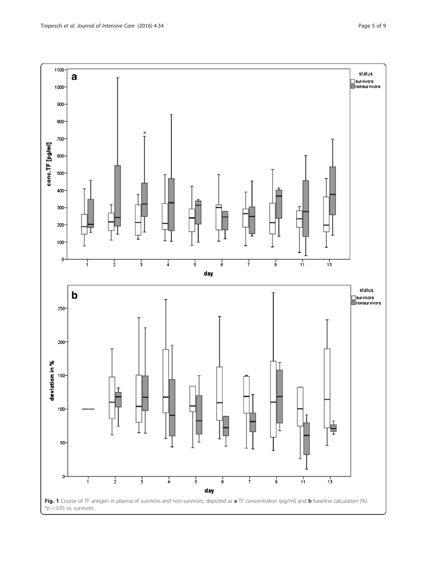<span id="page-4-0"></span>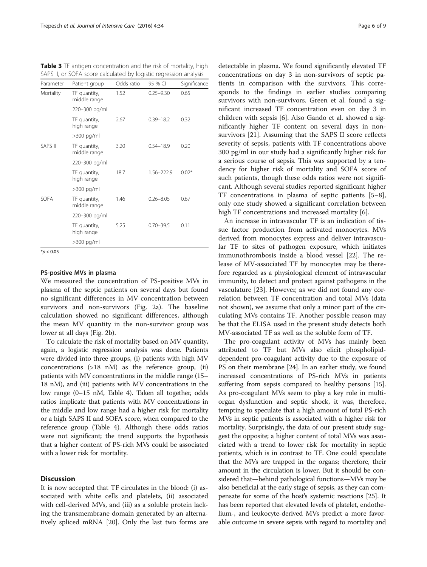<span id="page-5-0"></span>Table 3 TF antigen concentration and the risk of mortality, high SAPS II, or SOFA score calculated by logistic regression analysis

| Parameter      | Patient group                | Odds ratio | 95 % CI       | Significance |
|----------------|------------------------------|------------|---------------|--------------|
| Mortality      | TF quantity,<br>middle range | 1.52       | $0.25 - 9.30$ | 0.65         |
|                | 220-300 pg/ml                |            |               |              |
|                | TF quantity,<br>high range   | 2.67       | $0.39 - 18.2$ | 0.32         |
|                | $>300$ pg/ml                 |            |               |              |
| <b>SAPS II</b> | TF quantity,<br>middle range | 3.20       | $0.54 - 18.9$ | 0.20         |
|                | 220-300 pg/ml                |            |               |              |
|                | TF quantity,<br>high range   | 18.7       | 1.56-222.9    | $0.02*$      |
|                | $>300$ pg/ml                 |            |               |              |
| <b>SOFA</b>    | TF quantity,<br>middle range | 1.46       | $0.26 - 8.05$ | 0.67         |
|                | 220-300 pg/ml                |            |               |              |
|                | TF quantity,<br>high range   | 5.25       | $0.70 - 39.5$ | 0.11         |
|                | $>300$ pg/ml                 |            |               |              |

 $*$ *p* < 0.05

#### PS-positive MVs in plasma

We measured the concentration of PS-positive MVs in plasma of the septic patients on several days but found no significant differences in MV concentration between survivors and non-survivors (Fig. [2a\)](#page-6-0). The baseline calculation showed no significant differences, although the mean MV quantity in the non-survivor group was lower at all days (Fig. [2b\)](#page-6-0).

To calculate the risk of mortality based on MV quantity, again, a logistic regression analysis was done. Patients were divided into three groups, (i) patients with high MV concentrations (>18 nM) as the reference group, (ii) patients with MV concentrations in the middle range (15– 18 nM), and (iii) patients with MV concentrations in the low range (0–15 nM, Table [4\)](#page-7-0). Taken all together, odds ratios implicate that patients with MV concentrations in the middle and low range had a higher risk for mortality or a high SAPS II and SOFA score, when compared to the reference group (Table [4\)](#page-7-0). Although these odds ratios were not significant; the trend supports the hypothesis that a higher content of PS-rich MVs could be associated with a lower risk for mortality.

## **Discussion**

It is now accepted that TF circulates in the blood: (i) associated with white cells and platelets, (ii) associated with cell-derived MVs, and (iii) as a soluble protein lacking the transmembrane domain generated by an alternatively spliced mRNA [\[20\]](#page-7-0). Only the last two forms are detectable in plasma. We found significantly elevated TF concentrations on day 3 in non-survivors of septic patients in comparison with the survivors. This corresponds to the findings in earlier studies comparing survivors with non-survivors. Green et al. found a significant increased TF concentration even on day 3 in children with sepsis [[6\]](#page-7-0). Also Gando et al. showed a significantly higher TF content on several days in nonsurvivors [[21\]](#page-7-0). Assuming that the SAPS II score reflects severity of sepsis, patients with TF concentrations above 300 pg/ml in our study had a significantly higher risk for a serious course of sepsis. This was supported by a tendency for higher risk of mortality and SOFA score of such patients, though these odds ratios were not significant. Although several studies reported significant higher TF concentrations in plasma of septic patients [\[5](#page-7-0)–[8](#page-7-0)], only one study showed a significant correlation between high TF concentrations and increased mortality [\[6\]](#page-7-0).

An increase in intravascular TF is an indication of tissue factor production from activated monocytes. MVs derived from monocytes express and deliver intravascular TF to sites of pathogen exposure, which initiates immunothrombosis inside a blood vessel [\[22](#page-7-0)]. The release of MV-associated TF by monocytes may be therefore regarded as a physiological element of intravascular immunity, to detect and protect against pathogens in the vasculature [\[23](#page-7-0)]. However, as we did not found any correlation between TF concentration and total MVs (data not shown), we assume that only a minor part of the circulating MVs contains TF. Another possible reason may be that the ELISA used in the present study detects both MV-associated TF as well as the soluble form of TF.

The pro-coagulant activity of MVs has mainly been attributed to TF but MVs also elicit phospholipiddependent pro-coagulant activity due to the exposure of PS on their membrane [\[24\]](#page-7-0). In an earlier study, we found increased concentrations of PS-rich MVs in patients suffering from sepsis compared to healthy persons [[15](#page-7-0)]. As pro-coagulant MVs seem to play a key role in multiorgan dysfunction and septic shock, it was, therefore, tempting to speculate that a high amount of total PS-rich MVs in septic patients is associated with a higher risk for mortality. Surprisingly, the data of our present study suggest the opposite; a higher content of total MVs was associated with a trend to lower risk for mortality in septic patients, which is in contrast to TF. One could speculate that the MVs are trapped in the organs; therefore, their amount in the circulation is lower. But it should be considered that—behind pathological functions—MVs may be also beneficial at the early stage of sepsis, as they can compensate for some of the host's systemic reactions [[25](#page-7-0)]. It has been reported that elevated levels of platelet, endothelium-, and leukocyte-derived MVs predict a more favorable outcome in severe sepsis with regard to mortality and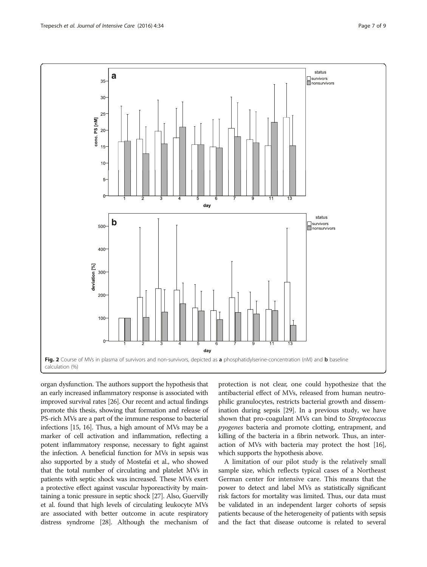<span id="page-6-0"></span>

organ dysfunction. The authors support the hypothesis that an early increased inflammatory response is associated with improved survival rates [[26\]](#page-8-0). Our recent and actual findings promote this thesis, showing that formation and release of PS-rich MVs are a part of the immune response to bacterial infections [\[15](#page-7-0), [16](#page-7-0)]. Thus, a high amount of MVs may be a marker of cell activation and inflammation, reflecting a potent inflammatory response, necessary to fight against the infection. A beneficial function for MVs in sepsis was also supported by a study of Mostefai et al., who showed that the total number of circulating and platelet MVs in patients with septic shock was increased. These MVs exert a protective effect against vascular hyporeactivity by maintaining a tonic pressure in septic shock [\[27\]](#page-8-0). Also, Guervilly et al. found that high levels of circulating leukocyte MVs are associated with better outcome in acute respiratory distress syndrome [\[28\]](#page-8-0). Although the mechanism of

protection is not clear, one could hypothesize that the antibacterial effect of MVs, released from human neutrophilic granulocytes, restricts bacterial growth and dissemination during sepsis [\[29\]](#page-8-0). In a previous study, we have shown that pro-coagulant MVs can bind to Streptococcus pyogenes bacteria and promote clotting, entrapment, and killing of the bacteria in a fibrin network. Thus, an interaction of MVs with bacteria may protect the host [\[16](#page-7-0)], which supports the hypothesis above.

A limitation of our pilot study is the relatively small sample size, which reflects typical cases of a Northeast German center for intensive care. This means that the power to detect and label MVs as statistically significant risk factors for mortality was limited. Thus, our data must be validated in an independent larger cohorts of sepsis patients because of the heterogeneity of patients with sepsis and the fact that disease outcome is related to several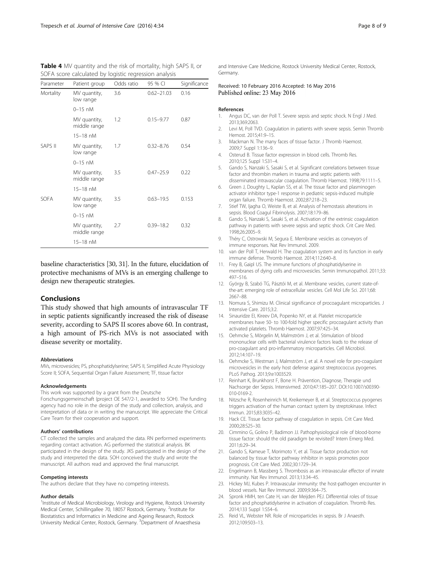<span id="page-7-0"></span>

|                                                       | <b>Table 4</b> MV quantity and the risk of mortality, high SAPS II, or |
|-------------------------------------------------------|------------------------------------------------------------------------|
| SOFA score calculated by logistic regression analysis |                                                                        |

| Parameter   | Patient group                | Odds ratio | 95 % CI        | Significance |
|-------------|------------------------------|------------|----------------|--------------|
| Mortality   | MV quantity,<br>low range    | 3.6        | $0.62 - 21.03$ | 0.16         |
|             | $0-15$ nM                    |            |                |              |
|             | MV quantity,<br>middle range | 1.2        | $0.15 - 9.77$  | 0.87         |
|             | $15 - 18$ nM                 |            |                |              |
| SAPS II     | MV quantity,<br>low range    | 1.7        | $0.32 - 8.76$  | 0.54         |
|             | $0-15$ nM                    |            |                |              |
|             | MV quantity,<br>middle range | 3.5        | $0.47 - 25.9$  | 0.22         |
|             | $15 - 18$ nM                 |            |                |              |
| <b>SOFA</b> | MV quantity,<br>low range    | 3.5        | $0.63 - 19.5$  | 0.153        |
|             | $0-15$ nM                    |            |                |              |
|             | MV quantity,<br>middle range | 2.7        | $0.39 - 18.2$  | 0.32         |
|             | 15-18 nM                     |            |                |              |

baseline characteristics [[30](#page-8-0), [31](#page-8-0)]. In the future, elucidation of protective mechanisms of MVs is an emerging challenge to design new therapeutic strategies.

## Conclusions

This study showed that high amounts of intravascular TF in septic patients significantly increased the risk of disease severity, according to SAPS II scores above 60. In contrast, a high amount of PS-rich MVs is not associated with disease severity or mortality.

#### Abbreviations

MVs, microvesicles; PS, phosphatidylserine; SAPS II, Simplified Acute Physiology Score II; SOFA, Sequential Organ Failure Assessment; TF, tissue factor

#### Acknowledgements

This work was supported by a grant from the Deutsche Forschungsgemeinschaft (project OE 547/2-1, awarded to SOH). The funding agency had no role in the design of the study and collection, analysis, and interpretation of data or in writing the manuscript. We appreciate the Critical Care Team for their cooperation and support.

#### Authors' contributions

CT collected the samples and analyzed the data. RN performed experiments regarding contact activation. AG performed the statistical analysis. BK participated in the design of the study. JKS participated in the design of the study and interpreted the data. SOH conceived the study and wrote the manuscript. All authors read and approved the final manuscript.

#### Competing interests

The authors declare that they have no competing interests.

#### Author details

<sup>1</sup>Institute of Medical Microbiology, Virology and Hygiene, Rostock University Medical Center, Schillingallee 70, 18057 Rostock, Germany. <sup>2</sup>Institute for Biostatistics and Informatics in Medicine and Ageing Research, Rostock University Medical Center, Rostock, Germany. <sup>3</sup>Department of Anaesthesia

and Intensive Care Medicine, Rostock University Medical Center, Rostock, Germany.

#### Received: 10 February 2016 Accepted: 16 May 2016 Published online: 23 May 2016

#### References

- 1. Angus DC, van der Poll T. Severe sepsis and septic shock. N Engl J Med. 2013;369:2063.
- 2. Levi M, Poll TVD. Coagulation in patients with severe sepsis. Semin Thromb Hemost. 2015;41:9–15.
- 3. Mackman N. The many faces of tissue factor. J Thromb Haemost. 2009;7 Suppl 1:136–9.
- 4. Osterud B. Tissue factor expression in blood cells. Thromb Res. 2010;125 Suppl 1:S31–4.
- 5. Gando S, Nanzaki S, Sasaki S, et al. Significant correlations between tissue factor and thrombin markers in trauma and septic patients with disseminated intravascular coagulation. Thromb Haemost. 1998;79:1111–5.
- 6. Green J, Doughty L, Kaplan SS, et al. The tissue factor and plasminogen activator inhibitor type-1 response in pediatric sepsis-induced multiple organ failure. Thromb Haemost. 2002;87:218–23.
- 7. Stief TW, Ijagha O, Weiste B, et al. Analysis of hemostasis alterations in sepsis. Blood Coagul Fibrinolysis. 2007;18:179–86.
- Gando S, Nanzaki S, Sasaki S, et al. Activation of the extrinsic coagulation pathway in patients with severe sepsis and septic shock. Crit Care Med. 1998;26:2005–9.
- 9. Théry C, Ostrowski M, Segura E. Membrane vesicles as conveyors of immune responses. Nat Rev Immunol. 2009.
- 10. van der Poll T, Herwald H. The coagulation system and its function in early immune defense. Thromb Haemost. 2014;112:640–8.
- 11. Frey B, Gaipl US. The immune functions of phosphatidylserine in membranes of dying cells and microvesicles. Semin Immunopathol. 2011;33: 497–516.
- 12. György B, Szabó TG, Pásztói M, et al. Membrane vesicles, current state-ofthe-art: emerging role of extracellular vesicles. Cell Mol Life Sci. 2011;68: 2667–88.
- 13. Nomura S, Shimizu M. Clinical significance of procoagulant microparticles. J Intensive Care. 2015;3:2.
- 14. Sinauridze EI, Kireev DA, Popenko NY, et al. Platelet microparticle membranes have 50- to 100-fold higher specific procoagulant activity than activated platelets. Thromb Haemost. 2007;97:425–34.
- 15. Oehmcke S, Mörgelin M, Malmström J, et al. Stimulation of blood mononuclear cells with bacterial virulence factors leads to the release of pro-coagulant and pro-inflammatory microparticles. Cell Microbiol. 2012;14:107–19.
- 16. Oehmcke S, Westman J, Malmström J, et al. A novel role for pro-coagulant microvesicles in the early host defense against streptococcus pyogenes. PLoS Pathog. 2013;9:e1003529.
- 17. Reinhart K, Brunkhorst F, Bone H. Prävention, Diagnose, Therapie und Nachsorge der Sepsis. Intensivmed. 2010;47:185–207. DOI:[10.1007/s00390-](http://dx.doi.org/10.1007/s00390-010-0169-2) [010-0169-2](http://dx.doi.org/10.1007/s00390-010-0169-2).
- 18. Nitzsche R, Rosenheinrich M, Kreikemeyer B, et al. Streptococcus pyogenes triggers activation of the human contact system by streptokinase. Infect Immun. 2015;83:3035–42.
- 19. Hack CE. Tissue factor pathway of coagulation in sepsis. Crit Care Med. 2000;28:S25–30.
- 20. Cimmino G, Golino P, Badimon JJ. Pathophysiological role of blood-borne tissue factor: should the old paradigm be revisited? Intern Emerg Med. 2011;6:29–34.
- 21. Gando S, Kameue T, Morimoto Y, et al. Tissue factor production not balanced by tissue factor pathway inhibitor in sepsis promotes poor prognosis. Crit Care Med. 2002;30:1729–34.
- 22. Engelmann B, Massberg S. Thrombosis as an intravascular effector of innate immunity. Nat Rev Immunol. 2013;13:34–45.
- 23. Hickey MJ, Kubes P. Intravascular immunity: the host-pathogen encounter in blood vessels. Nat Rev Immunol. 2009;9:364–75.
- 24. Spronk HMH, ten Cate H, van der Meijden PEJ. Differential roles of tissue factor and phosphatidylserine in activation of coagulation. Thromb Res. 2014;133 Suppl 1:S54–6.
- 25. Reid VL, Webster NR. Role of microparticles in sepsis. Br J Anaesth. 2012;109:503–13.